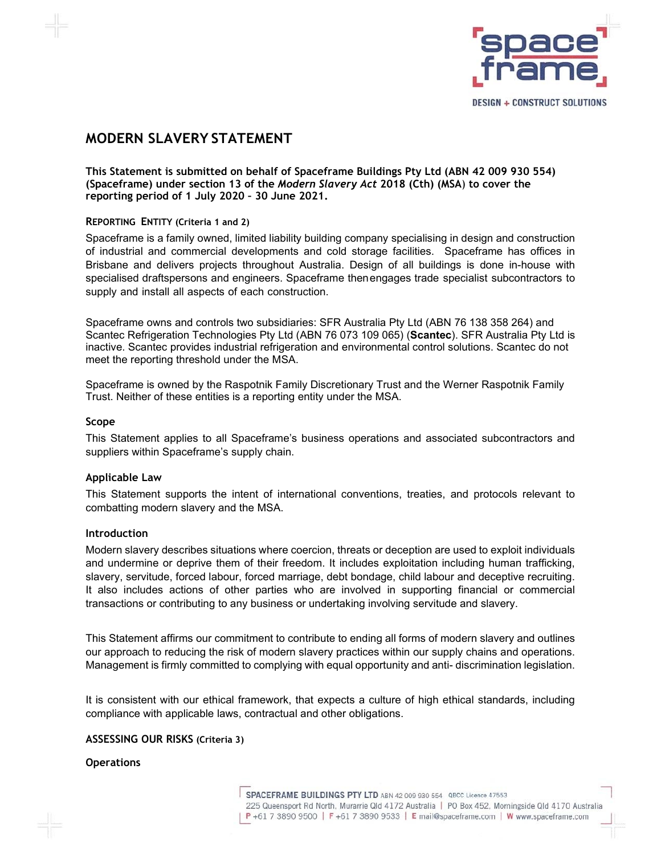

# **MODERN SLAVERY STATEMENT**

**This Statement is submitted on behalf of Spaceframe Buildings Pty Ltd (ABN 42 009 930 554) (Spaceframe) under section 13 of the** *Modern Slavery Act* **2018 (Cth) (MSA**) **to cover the reporting period of 1 July 2020 – 30 June 2021.** 

### **REPORTING ENTITY (Criteria 1 and 2)**

Spaceframe is a family owned, limited liability building company specialising in design and construction of industrial and commercial developments and cold storage facilities. Spaceframe has offices in Brisbane and delivers projects throughout Australia. Design of all buildings is done in-house with specialised draftspersons and engineers. Spaceframe thenengages trade specialist subcontractors to supply and install all aspects of each construction.

Spaceframe owns and controls two subsidiaries: SFR Australia Pty Ltd (ABN 76 138 358 264) and Scantec Refrigeration Technologies Pty Ltd (ABN 76 073 109 065) (**Scantec**). SFR Australia Pty Ltd is inactive. Scantec provides industrial refrigeration and environmental control solutions. Scantec do not meet the reporting threshold under the MSA.

Spaceframe is owned by the Raspotnik Family Discretionary Trust and the Werner Raspotnik Family Trust. Neither of these entities is a reporting entity under the MSA.

### **Scope**

This Statement applies to all Spaceframe's business operations and associated subcontractors and suppliers within Spaceframe's supply chain.

### **Applicable Law**

This Statement supports the intent of international conventions, treaties, and protocols relevant to combatting modern slavery and the MSA.

#### **Introduction**

Modern slavery describes situations where coercion, threats or deception are used to exploit individuals and undermine or deprive them of their freedom. It includes exploitation including human trafficking, slavery, servitude, forced labour, forced marriage, debt bondage, child labour and deceptive recruiting. It also includes actions of other parties who are involved in supporting financial or commercial transactions or contributing to any business or undertaking involving servitude and slavery.

This Statement affirms our commitment to contribute to ending all forms of modern slavery and outlines our approach to reducing the risk of modern slavery practices within our supply chains and operations. Management is firmly committed to complying with equal opportunity and anti- discrimination legislation.

It is consistent with our ethical framework, that expects a culture of high ethical standards, including compliance with applicable laws, contractual and other obligations.

#### **ASSESSING OUR RISKS (Criteria 3)**

#### **Operations**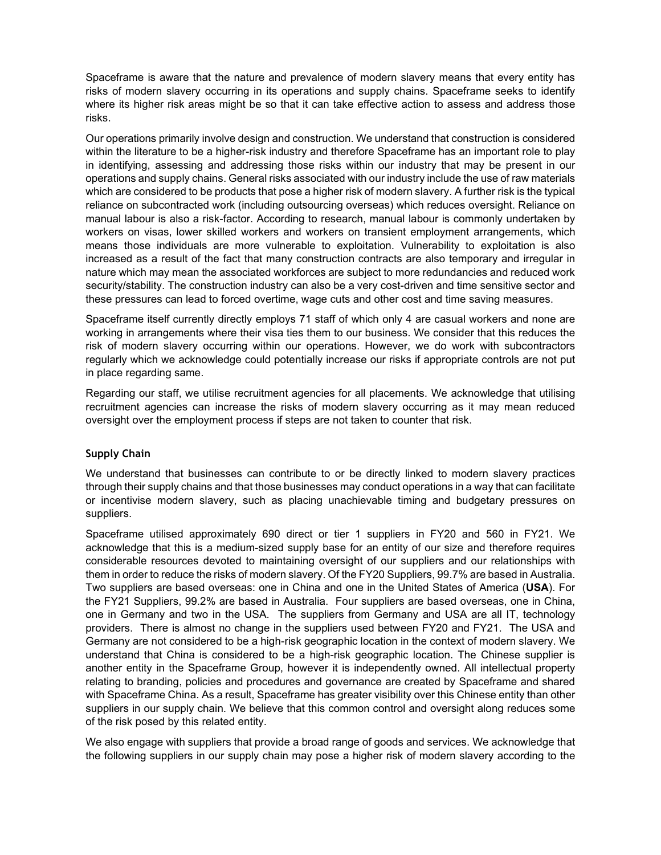Spaceframe is aware that the nature and prevalence of modern slavery means that every entity has risks of modern slavery occurring in its operations and supply chains. Spaceframe seeks to identify where its higher risk areas might be so that it can take effective action to assess and address those risks.

Our operations primarily involve design and construction. We understand that construction is considered within the literature to be a higher-risk industry and therefore Spaceframe has an important role to play in identifying, assessing and addressing those risks within our industry that may be present in our operations and supply chains. General risks associated with our industry include the use of raw materials which are considered to be products that pose a higher risk of modern slavery. A further risk is the typical reliance on subcontracted work (including outsourcing overseas) which reduces oversight. Reliance on manual labour is also a risk-factor. According to research, manual labour is commonly undertaken by workers on visas, lower skilled workers and workers on transient employment arrangements, which means those individuals are more vulnerable to exploitation. Vulnerability to exploitation is also increased as a result of the fact that many construction contracts are also temporary and irregular in nature which may mean the associated workforces are subject to more redundancies and reduced work security/stability. The construction industry can also be a very cost-driven and time sensitive sector and these pressures can lead to forced overtime, wage cuts and other cost and time saving measures.

Spaceframe itself currently directly employs 71 staff of which only 4 are casual workers and none are working in arrangements where their visa ties them to our business. We consider that this reduces the risk of modern slavery occurring within our operations. However, we do work with subcontractors regularly which we acknowledge could potentially increase our risks if appropriate controls are not put in place regarding same.

Regarding our staff, we utilise recruitment agencies for all placements. We acknowledge that utilising recruitment agencies can increase the risks of modern slavery occurring as it may mean reduced oversight over the employment process if steps are not taken to counter that risk.

### **Supply Chain**

We understand that businesses can contribute to or be directly linked to modern slavery practices through their supply chains and that those businesses may conduct operations in a way that can facilitate or incentivise modern slavery, such as placing unachievable timing and budgetary pressures on suppliers.

Spaceframe utilised approximately 690 direct or tier 1 suppliers in FY20 and 560 in FY21. We acknowledge that this is a medium-sized supply base for an entity of our size and therefore requires considerable resources devoted to maintaining oversight of our suppliers and our relationships with them in order to reduce the risks of modern slavery. Of the FY20 Suppliers, 99.7% are based in Australia. Two suppliers are based overseas: one in China and one in the United States of America (**USA**). For the FY21 Suppliers, 99.2% are based in Australia. Four suppliers are based overseas, one in China, one in Germany and two in the USA. The suppliers from Germany and USA are all IT, technology providers. There is almost no change in the suppliers used between FY20 and FY21. The USA and Germany are not considered to be a high-risk geographic location in the context of modern slavery. We understand that China is considered to be a high-risk geographic location. The Chinese supplier is another entity in the Spaceframe Group, however it is independently owned. All intellectual property relating to branding, policies and procedures and governance are created by Spaceframe and shared with Spaceframe China. As a result, Spaceframe has greater visibility over this Chinese entity than other suppliers in our supply chain. We believe that this common control and oversight along reduces some of the risk posed by this related entity.

We also engage with suppliers that provide a broad range of goods and services. We acknowledge that the following suppliers in our supply chain may pose a higher risk of modern slavery according to the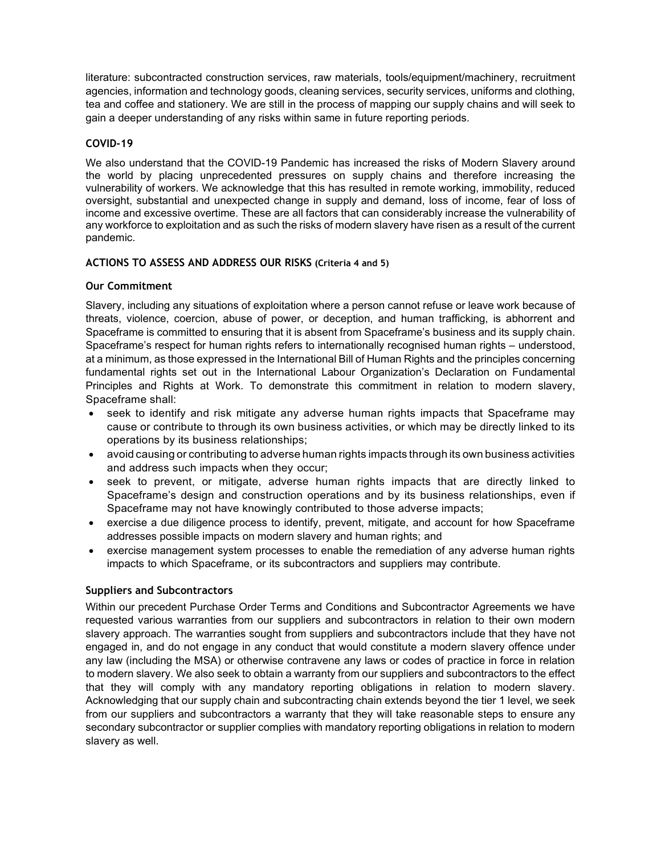literature: subcontracted construction services, raw materials, tools/equipment/machinery, recruitment agencies, information and technology goods, cleaning services, security services, uniforms and clothing, tea and coffee and stationery. We are still in the process of mapping our supply chains and will seek to gain a deeper understanding of any risks within same in future reporting periods.

## **COVID-19**

We also understand that the COVID-19 Pandemic has increased the risks of Modern Slavery around the world by placing unprecedented pressures on supply chains and therefore increasing the vulnerability of workers. We acknowledge that this has resulted in remote working, immobility, reduced oversight, substantial and unexpected change in supply and demand, loss of income, fear of loss of income and excessive overtime. These are all factors that can considerably increase the vulnerability of any workforce to exploitation and as such the risks of modern slavery have risen as a result of the current pandemic.

## **ACTIONS TO ASSESS AND ADDRESS OUR RISKS (Criteria 4 and 5)**

## **Our Commitment**

Slavery, including any situations of exploitation where a person cannot refuse or leave work because of threats, violence, coercion, abuse of power, or deception, and human trafficking, is abhorrent and Spaceframe is committed to ensuring that it is absent from Spaceframe's business and its supply chain. Spaceframe's respect for human rights refers to internationally recognised human rights – understood, at a minimum, as those expressed in the International Bill of Human Rights and the principles concerning fundamental rights set out in the International Labour Organization's Declaration on Fundamental Principles and Rights at Work. To demonstrate this commitment in relation to modern slavery, Spaceframe shall:

- seek to identify and risk mitigate any adverse human rights impacts that Spaceframe may cause or contribute to through its own business activities, or which may be directly linked to its operations by its business relationships;
- avoid causing or contributing to adverse human rights impacts through its own business activities and address such impacts when they occur;
- seek to prevent, or mitigate, adverse human rights impacts that are directly linked to Spaceframe's design and construction operations and by its business relationships, even if Spaceframe may not have knowingly contributed to those adverse impacts;
- exercise a due diligence process to identify, prevent, mitigate, and account for how Spaceframe addresses possible impacts on modern slavery and human rights; and
- exercise management system processes to enable the remediation of any adverse human rights impacts to which Spaceframe, or its subcontractors and suppliers may contribute.

### **Suppliers and Subcontractors**

Within our precedent Purchase Order Terms and Conditions and Subcontractor Agreements we have requested various warranties from our suppliers and subcontractors in relation to their own modern slavery approach. The warranties sought from suppliers and subcontractors include that they have not engaged in, and do not engage in any conduct that would constitute a modern slavery offence under any law (including the MSA) or otherwise contravene any laws or codes of practice in force in relation to modern slavery. We also seek to obtain a warranty from our suppliers and subcontractors to the effect that they will comply with any mandatory reporting obligations in relation to modern slavery. Acknowledging that our supply chain and subcontracting chain extends beyond the tier 1 level, we seek from our suppliers and subcontractors a warranty that they will take reasonable steps to ensure any secondary subcontractor or supplier complies with mandatory reporting obligations in relation to modern slavery as well.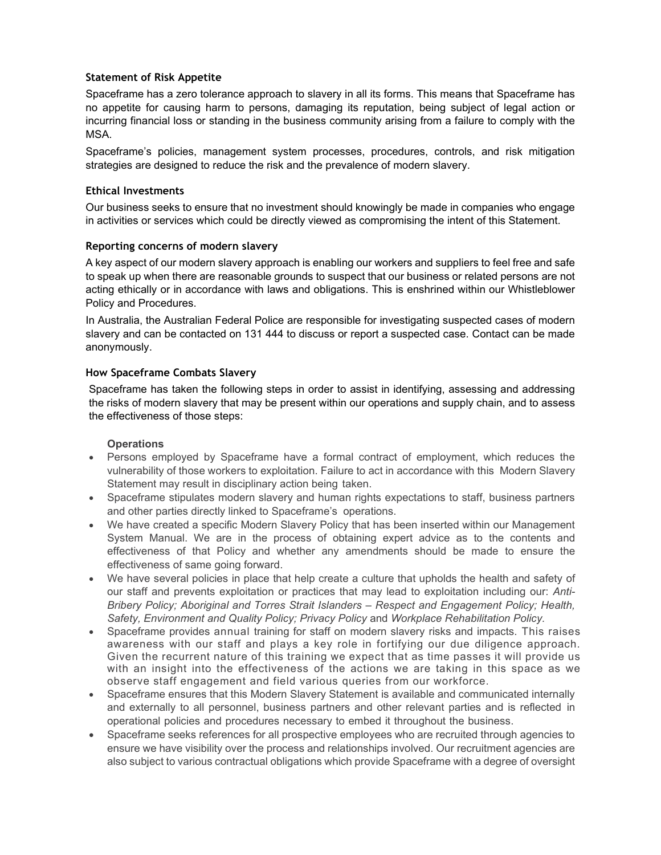## **Statement of Risk Appetite**

Spaceframe has a zero tolerance approach to slavery in all its forms. This means that Spaceframe has no appetite for causing harm to persons, damaging its reputation, being subject of legal action or incurring financial loss or standing in the business community arising from a failure to comply with the MSA.

Spaceframe's policies, management system processes, procedures, controls, and risk mitigation strategies are designed to reduce the risk and the prevalence of modern slavery.

# **Ethical Investments**

Our business seeks to ensure that no investment should knowingly be made in companies who engage in activities or services which could be directly viewed as compromising the intent of this Statement.

## **Reporting concerns of modern slavery**

A key aspect of our modern slavery approach is enabling our workers and suppliers to feel free and safe to speak up when there are reasonable grounds to suspect that our business or related persons are not acting ethically or in accordance with laws and obligations. This is enshrined within our Whistleblower Policy and Procedures.

In Australia, the Australian Federal Police are responsible for investigating suspected cases of modern slavery and can be contacted on 131 444 to discuss or report a suspected case. Contact can be made anonymously.

## **How Spaceframe Combats Slavery**

Spaceframe has taken the following steps in order to assist in identifying, assessing and addressing the risks of modern slavery that may be present within our operations and supply chain, and to assess the effectiveness of those steps:

## **Operations**

- Persons employed by Spaceframe have a formal contract of employment, which reduces the vulnerability of those workers to exploitation. Failure to act in accordance with this Modern Slavery Statement may result in disciplinary action being taken.
- Spaceframe stipulates modern slavery and human rights expectations to staff, business partners and other parties directly linked to Spaceframe's operations.
- We have created a specific Modern Slavery Policy that has been inserted within our Management System Manual. We are in the process of obtaining expert advice as to the contents and effectiveness of that Policy and whether any amendments should be made to ensure the effectiveness of same going forward.
- We have several policies in place that help create a culture that upholds the health and safety of our staff and prevents exploitation or practices that may lead to exploitation including our: *Anti-Bribery Policy; Aboriginal and Torres Strait Islanders – Respect and Engagement Policy; Health, Safety, Environment and Quality Policy; Privacy Policy* and *Workplace Rehabilitation Policy.*
- Spaceframe provides annual training for staff on modern slavery risks and impacts. This raises awareness with our staff and plays a key role in fortifying our due diligence approach. Given the recurrent nature of this training we expect that as time passes it will provide us with an insight into the effectiveness of the actions we are taking in this space as we observe staff engagement and field various queries from our workforce.
- Spaceframe ensures that this Modern Slavery Statement is available and communicated internally and externally to all personnel, business partners and other relevant parties and is reflected in operational policies and procedures necessary to embed it throughout the business.
- Spaceframe seeks references for all prospective employees who are recruited through agencies to ensure we have visibility over the process and relationships involved. Our recruitment agencies are also subject to various contractual obligations which provide Spaceframe with a degree of oversight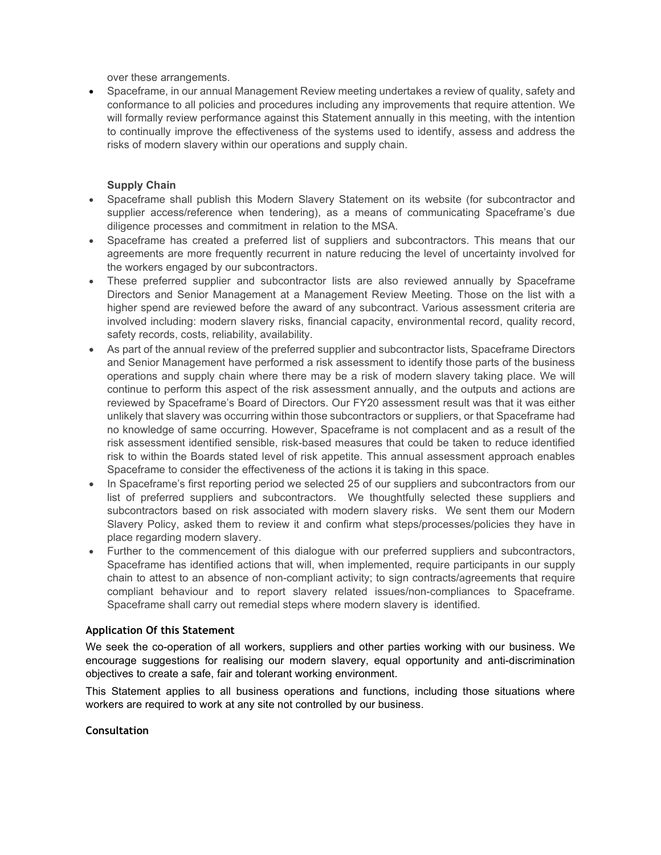over these arrangements.

• Spaceframe, in our annual Management Review meeting undertakes a review of quality, safety and conformance to all policies and procedures including any improvements that require attention. We will formally review performance against this Statement annually in this meeting, with the intention to continually improve the effectiveness of the systems used to identify, assess and address the risks of modern slavery within our operations and supply chain.

# **Supply Chain**

- Spaceframe shall publish this Modern Slavery Statement on its website (for subcontractor and supplier access/reference when tendering), as a means of communicating Spaceframe's due diligence processes and commitment in relation to the MSA.
- Spaceframe has created a preferred list of suppliers and subcontractors. This means that our agreements are more frequently recurrent in nature reducing the level of uncertainty involved for the workers engaged by our subcontractors.
- These preferred supplier and subcontractor lists are also reviewed annually by Spaceframe Directors and Senior Management at a Management Review Meeting. Those on the list with a higher spend are reviewed before the award of any subcontract. Various assessment criteria are involved including: modern slavery risks, financial capacity, environmental record, quality record, safety records, costs, reliability, availability.
- As part of the annual review of the preferred supplier and subcontractor lists, Spaceframe Directors and Senior Management have performed a risk assessment to identify those parts of the business operations and supply chain where there may be a risk of modern slavery taking place. We will continue to perform this aspect of the risk assessment annually, and the outputs and actions are reviewed by Spaceframe's Board of Directors. Our FY20 assessment result was that it was either unlikely that slavery was occurring within those subcontractors or suppliers, or that Spaceframe had no knowledge of same occurring. However, Spaceframe is not complacent and as a result of the risk assessment identified sensible, risk-based measures that could be taken to reduce identified risk to within the Boards stated level of risk appetite. This annual assessment approach enables Spaceframe to consider the effectiveness of the actions it is taking in this space.
- In Spaceframe's first reporting period we selected 25 of our suppliers and subcontractors from our list of preferred suppliers and subcontractors. We thoughtfully selected these suppliers and subcontractors based on risk associated with modern slavery risks. We sent them our Modern Slavery Policy, asked them to review it and confirm what steps/processes/policies they have in place regarding modern slavery.
- Further to the commencement of this dialogue with our preferred suppliers and subcontractors, Spaceframe has identified actions that will, when implemented, require participants in our supply chain to attest to an absence of non-compliant activity; to sign contracts/agreements that require compliant behaviour and to report slavery related issues/non-compliances to Spaceframe. Spaceframe shall carry out remedial steps where modern slavery is identified.

## **Application Of this Statement**

We seek the co-operation of all workers, suppliers and other parties working with our business. We encourage suggestions for realising our modern slavery, equal opportunity and anti-discrimination objectives to create a safe, fair and tolerant working environment.

This Statement applies to all business operations and functions, including those situations where workers are required to work at any site not controlled by our business.

### **Consultation**